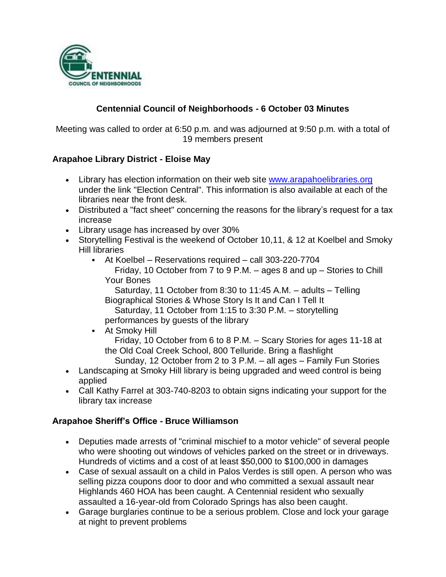

### **Centennial Council of Neighborhoods - 6 October 03 Minutes**

Meeting was called to order at 6:50 p.m. and was adjourned at 9:50 p.m. with a total of 19 members present

#### **Arapahoe Library District - Eloise May**

- Library has election information on their web site [www.arapahoelibraries.org](http://www.arapahoelibraries.org/) under the link "Election Central". This information is also available at each of the libraries near the front desk.
- Distributed a "fact sheet" concerning the reasons for the library's request for a tax increase
- Library usage has increased by over 30%
- Storytelling Festival is the weekend of October 10,11, & 12 at Koelbel and Smoky Hill libraries
	- At Koelbel Reservations required call 303-220-7704 Friday, 10 October from 7 to 9 P.M. – ages 8 and up – Stories to Chill Your Bones

 Saturday, 11 October from 8:30 to 11:45 A.M. – adults – Telling Biographical Stories & Whose Story Is It and Can I Tell It

 Saturday, 11 October from 1:15 to 3:30 P.M. – storytelling performances by guests of the library

- At Smoky Hill Friday, 10 October from 6 to 8 P.M. – Scary Stories for ages 11-18 at the Old Coal Creek School, 800 Telluride. Bring a flashlight Sunday, 12 October from 2 to 3 P.M. – all ages – Family Fun Stories
- Landscaping at Smoky Hill library is being upgraded and weed control is being applied
- Call Kathy Farrel at 303-740-8203 to obtain signs indicating your support for the library tax increase

#### **Arapahoe Sheriff's Office - Bruce Williamson**

- Deputies made arrests of "criminal mischief to a motor vehicle" of several people who were shooting out windows of vehicles parked on the street or in driveways. Hundreds of victims and a cost of at least \$50,000 to \$100,000 in damages
- Case of sexual assault on a child in Palos Verdes is still open. A person who was selling pizza coupons door to door and who committed a sexual assault near Highlands 460 HOA has been caught. A Centennial resident who sexually assaulted a 16-year-old from Colorado Springs has also been caught.
- Garage burglaries continue to be a serious problem. Close and lock your garage at night to prevent problems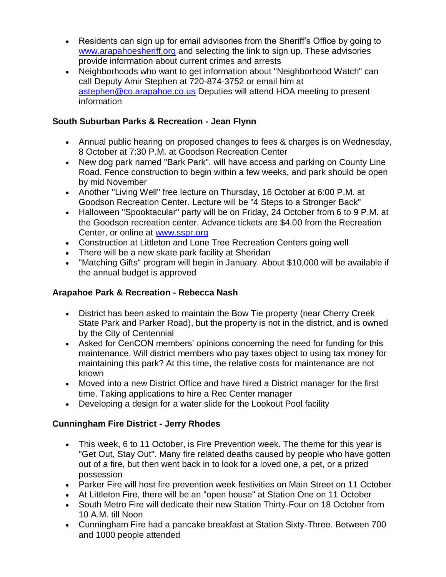- Residents can sign up for email advisories from the Sheriff's Office by going to [www.arapahoesheriff.org](file:///C:/WINDOWS/TEMP/www.arapahoesheriff.org) and selecting the link to sign up. These advisories provide information about current crimes and arrests
- Neighborhoods who want to get information about "Neighborhood Watch" can call Deputy Amir Stephen at 720-874-3752 or email him at [astephen@co.arapahoe.co.us](mailto:astephen@co.arapahoe.co.us) Deputies will attend HOA meeting to present information

### **South Suburban Parks & Recreation - Jean Flynn**

- Annual public hearing on proposed changes to fees & charges is on Wednesday, 8 October at 7:30 P.M. at Goodson Recreation Center
- New dog park named "Bark Park", will have access and parking on County Line Road. Fence construction to begin within a few weeks, and park should be open by mid November
- Another "Living Well" free lecture on Thursday, 16 October at 6:00 P.M. at Goodson Recreation Center. Lecture will be "4 Steps to a Stronger Back"
- Halloween "Spooktacular" party will be on Friday, 24 October from 6 to 9 P.M. at the Goodson recreation center. Advance tickets are \$4.00 from the Recreation Center, or online at [www.sspr.org](http://www.sspr.org/)
- Construction at Littleton and Lone Tree Recreation Centers going well
- There will be a new skate park facility at Sheridan
- "Matching Gifts" program will begin in January. About \$10,000 will be available if the annual budget is approved

# **Arapahoe Park & Recreation - Rebecca Nash**

- District has been asked to maintain the Bow Tie property (near Cherry Creek State Park and Parker Road), but the property is not in the district, and is owned by the City of Centennial
- Asked for CenCON members' opinions concerning the need for funding for this maintenance. Will district members who pay taxes object to using tax money for maintaining this park? At this time, the relative costs for maintenance are not known
- Moved into a new District Office and have hired a District manager for the first time. Taking applications to hire a Rec Center manager
- Developing a design for a water slide for the Lookout Pool facility

# **Cunningham Fire District - Jerry Rhodes**

- This week, 6 to 11 October, is Fire Prevention week. The theme for this year is "Get Out, Stay Out". Many fire related deaths caused by people who have gotten out of a fire, but then went back in to look for a loved one, a pet, or a prized possession
- Parker Fire will host fire prevention week festivities on Main Street on 11 October
- At Littleton Fire, there will be an "open house" at Station One on 11 October
- South Metro Fire will dedicate their new Station Thirty-Four on 18 October from 10 A.M. till Noon
- Cunningham Fire had a pancake breakfast at Station Sixty-Three. Between 700 and 1000 people attended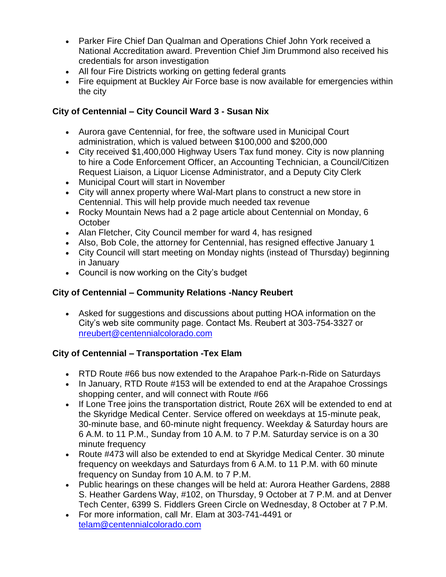- Parker Fire Chief Dan Qualman and Operations Chief John York received a National Accreditation award. Prevention Chief Jim Drummond also received his credentials for arson investigation
- All four Fire Districts working on getting federal grants
- Fire equipment at Buckley Air Force base is now available for emergencies within the city

# **City of Centennial – City Council Ward 3 - Susan Nix**

- Aurora gave Centennial, for free, the software used in Municipal Court administration, which is valued between \$100,000 and \$200,000
- City received \$1,400,000 Highway Users Tax fund money. City is now planning to hire a Code Enforcement Officer, an Accounting Technician, a Council/Citizen Request Liaison, a Liquor License Administrator, and a Deputy City Clerk
- Municipal Court will start in November
- City will annex property where Wal-Mart plans to construct a new store in Centennial. This will help provide much needed tax revenue
- Rocky Mountain News had a 2 page article about Centennial on Monday, 6 **October**
- Alan Fletcher, City Council member for ward 4, has resigned
- Also, Bob Cole, the attorney for Centennial, has resigned effective January 1
- City Council will start meeting on Monday nights (instead of Thursday) beginning in January
- Council is now working on the City's budget

# **City of Centennial – Community Relations -Nancy Reubert**

 Asked for suggestions and discussions about putting HOA information on the City's web site community page. Contact Ms. Reubert at 303-754-3327 or [nreubert@centennialcolorado.com](mailto:nreubert@centennialcolorado.com)

# **City of Centennial – Transportation -Tex Elam**

- RTD Route #66 bus now extended to the Arapahoe Park-n-Ride on Saturdays
- In January, RTD Route #153 will be extended to end at the Arapahoe Crossings shopping center, and will connect with Route #66
- If Lone Tree joins the transportation district, Route 26X will be extended to end at the Skyridge Medical Center. Service offered on weekdays at 15-minute peak, 30-minute base, and 60-minute night frequency. Weekday & Saturday hours are 6 A.M. to 11 P.M., Sunday from 10 A.M. to 7 P.M. Saturday service is on a 30 minute frequency
- Route #473 will also be extended to end at Skyridge Medical Center. 30 minute frequency on weekdays and Saturdays from 6 A.M. to 11 P.M. with 60 minute frequency on Sunday from 10 A.M. to 7 P.M.
- Public hearings on these changes will be held at: Aurora Heather Gardens, 2888 S. Heather Gardens Way, #102, on Thursday, 9 October at 7 P.M. and at Denver Tech Center, 6399 S. Fiddlers Green Circle on Wednesday, 8 October at 7 P.M.
- For more information, call Mr. Elam at 303-741-4491 or [telam@centennialcolorado.com](mailto:telam@centennialcolorado.com)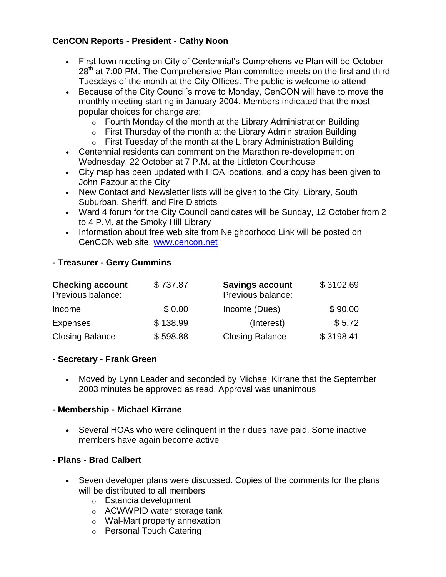### **CenCON Reports - President - Cathy Noon**

- First town meeting on City of Centennial's Comprehensive Plan will be October  $28<sup>th</sup>$  at 7:00 PM. The Comprehensive Plan committee meets on the first and third Tuesdays of the month at the City Offices. The public is welcome to attend
- Because of the City Council's move to Monday, CenCON will have to move the monthly meeting starting in January 2004. Members indicated that the most popular choices for change are:
	- $\circ$  Fourth Monday of the month at the Library Administration Building
	- $\circ$  First Thursday of the month at the Library Administration Building
	- $\circ$  First Tuesday of the month at the Library Administration Building
- Centennial residents can comment on the Marathon re-development on Wednesday, 22 October at 7 P.M. at the Littleton Courthouse
- City map has been updated with HOA locations, and a copy has been given to John Pazour at the City
- New Contact and Newsletter lists will be given to the City, Library, South Suburban, Sheriff, and Fire Districts
- Ward 4 forum for the City Council candidates will be Sunday, 12 October from 2 to 4 P.M. at the Smoky Hill Library
- Information about free web site from Neighborhood Link will be posted on CenCON web site, [www.cencon.net](http://www.cencon.net/)

#### **- Treasurer - Gerry Cummins**

| <b>Checking account</b><br>Previous balance: | \$737.87 | <b>Savings account</b><br>Previous balance: | \$3102.69 |
|----------------------------------------------|----------|---------------------------------------------|-----------|
| Income                                       | \$0.00   | Income (Dues)                               | \$90.00   |
| <b>Expenses</b>                              | \$138.99 | (Interest)                                  | \$5.72    |
| <b>Closing Balance</b>                       | \$598.88 | <b>Closing Balance</b>                      | \$3198.41 |

#### **- Secretary - Frank Green**

 Moved by Lynn Leader and seconded by Michael Kirrane that the September 2003 minutes be approved as read. Approval was unanimous

#### **- Membership - Michael Kirrane**

 Several HOAs who were delinquent in their dues have paid. Some inactive members have again become active

#### **- Plans - Brad Calbert**

- Seven developer plans were discussed. Copies of the comments for the plans will be distributed to all members
	- o Estancia development
	- o ACWWPID water storage tank
	- o Wal-Mart property annexation
	- o Personal Touch Catering